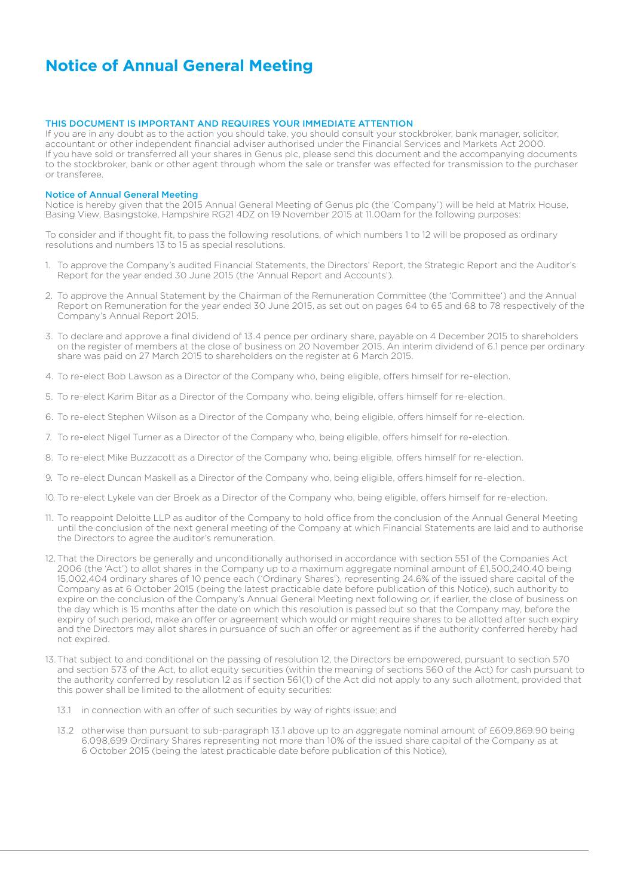# **Notice of Annual General Meeting**

### THIS DOCUMENT IS IMPORTANT AND REQUIRES YOUR IMMEDIATE ATTENTION

If you are in any doubt as to the action you should take, you should consult your stockbroker, bank manager, solicitor, accountant or other independent financial adviser authorised under the Financial Services and Markets Act 2000. If you have sold or transferred all your shares in Genus plc, please send this document and the accompanying documents to the stockbroker, bank or other agent through whom the sale or transfer was effected for transmission to the purchaser or transferee.

#### Notice of Annual General Meeting

Notice is hereby given that the 2015 Annual General Meeting of Genus plc (the 'Company') will be held at Matrix House, Basing View, Basingstoke, Hampshire RG21 4DZ on 19 November 2015 at 11.00am for the following purposes:

To consider and if thought fit, to pass the following resolutions, of which numbers 1 to 12 will be proposed as ordinary resolutions and numbers 13 to 15 as special resolutions.

- 1. To approve the Company's audited Financial Statements, the Directors' Report, the Strategic Report and the Auditor's Report for the year ended 30 June 2015 (the 'Annual Report and Accounts').
- 2. To approve the Annual Statement by the Chairman of the Remuneration Committee (the 'Committee') and the Annual Report on Remuneration for the year ended 30 June 2015, as set out on pages 64 to 65 and 68 to 78 respectively of the Company's Annual Report 2015.
- 3. To declare and approve a final dividend of 13.4 pence per ordinary share, payable on 4 December 2015 to shareholders on the register of members at the close of business on 20 November 2015. An interim dividend of 6.1 pence per ordinary share was paid on 27 March 2015 to shareholders on the register at 6 March 2015.
- 4. To re-elect Bob Lawson as a Director of the Company who, being eligible, offers himself for re-election.
- 5. To re-elect Karim Bitar as a Director of the Company who, being eligible, offers himself for re-election.
- 6. To re-elect Stephen Wilson as a Director of the Company who, being eligible, offers himself for re-election.
- 7. To re-elect Nigel Turner as a Director of the Company who, being eligible, offers himself for re-election.
- 8. To re-elect Mike Buzzacott as a Director of the Company who, being eligible, offers himself for re-election.
- 9. To re-elect Duncan Maskell as a Director of the Company who, being eligible, offers himself for re-election.
- 10. To re-elect Lykele van der Broek as a Director of the Company who, being eligible, offers himself for re-election.
- 11. To reappoint Deloitte LLP as auditor of the Company to hold office from the conclusion of the Annual General Meeting until the conclusion of the next general meeting of the Company at which Financial Statements are laid and to authorise the Directors to agree the auditor's remuneration.
- 12. That the Directors be generally and unconditionally authorised in accordance with section 551 of the Companies Act 2006 (the 'Act') to allot shares in the Company up to a maximum aggregate nominal amount of £1,500,240.40 being 15,002,404 ordinary shares of 10 pence each ('Ordinary Shares'), representing 24.6% of the issued share capital of the Company as at 6 October 2015 (being the latest practicable date before publication of this Notice), such authority to expire on the conclusion of the Company's Annual General Meeting next following or, if earlier, the close of business on the day which is 15 months after the date on which this resolution is passed but so that the Company may, before the expiry of such period, make an offer or agreement which would or might require shares to be allotted after such expiry and the Directors may allot shares in pursuance of such an offer or agreement as if the authority conferred hereby had not expired.
- 13.That subject to and conditional on the passing of resolution 12, the Directors be empowered, pursuant to section 570 and section 573 of the Act, to allot equity securities (within the meaning of sections 560 of the Act) for cash pursuant to the authority conferred by resolution 12 as if section 561(1) of the Act did not apply to any such allotment, provided that this power shall be limited to the allotment of equity securities:
	- 13.1 in connection with an offer of such securities by way of rights issue; and
	- 13.2 otherwise than pursuant to sub-paragraph 13.1 above up to an aggregate nominal amount of £609,869.90 being 6,098,699 Ordinary Shares representing not more than 10% of the issued share capital of the Company as at 6 October 2015 (being the latest practicable date before publication of this Notice),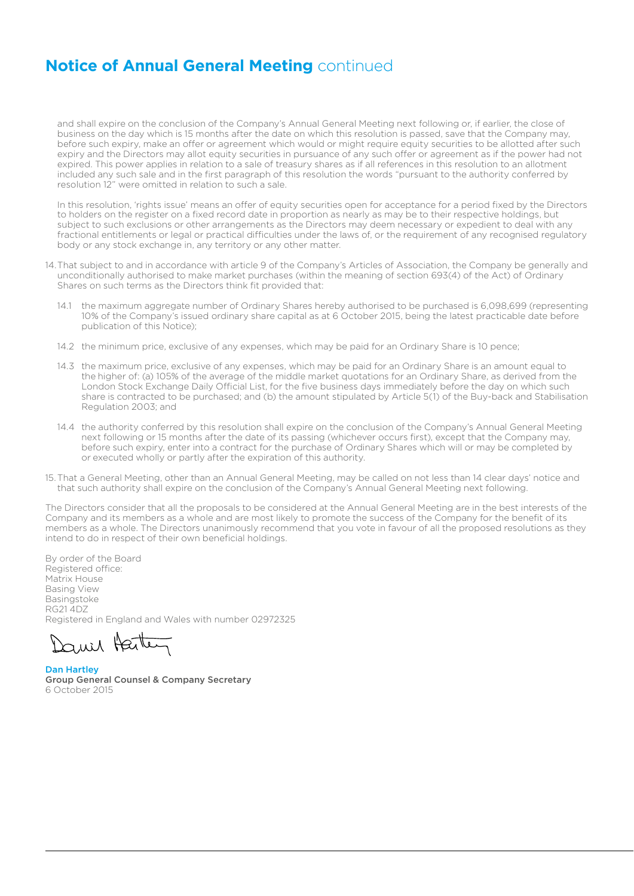# **Notice of Annual General Meeting** continued

and shall expire on the conclusion of the Company's Annual General Meeting next following or, if earlier, the close of business on the day which is 15 months after the date on which this resolution is passed, save that the Company may, before such expiry, make an offer or agreement which would or might require equity securities to be allotted after such expiry and the Directors may allot equity securities in pursuance of any such offer or agreement as if the power had not expired. This power applies in relation to a sale of treasury shares as if all references in this resolution to an allotment included any such sale and in the first paragraph of this resolution the words "pursuant to the authority conferred by resolution 12" were omitted in relation to such a sale.

In this resolution, 'rights issue' means an offer of equity securities open for acceptance for a period fixed by the Directors to holders on the register on a fixed record date in proportion as nearly as may be to their respective holdings, but subject to such exclusions or other arrangements as the Directors may deem necessary or expedient to deal with any fractional entitlements or legal or practical difficulties under the laws of, or the requirement of any recognised regulatory body or any stock exchange in, any territory or any other matter.

- 14.That subject to and in accordance with article 9 of the Company's Articles of Association, the Company be generally and unconditionally authorised to make market purchases (within the meaning of section 693(4) of the Act) of Ordinary Shares on such terms as the Directors think fit provided that:
	- 14.1 the maximum aggregate number of Ordinary Shares hereby authorised to be purchased is 6,098,699 (representing 10% of the Company's issued ordinary share capital as at 6 October 2015, being the latest practicable date before publication of this Notice);
	- 14.2 the minimum price, exclusive of any expenses, which may be paid for an Ordinary Share is 10 pence;
	- 14.3 the maximum price, exclusive of any expenses, which may be paid for an Ordinary Share is an amount equal to the higher of: (a) 105% of the average of the middle market quotations for an Ordinary Share, as derived from the London Stock Exchange Daily Official List, for the five business days immediately before the day on which such share is contracted to be purchased; and (b) the amount stipulated by Article 5(1) of the Buy-back and Stabilisation Regulation 2003; and
	- 14.4 the authority conferred by this resolution shall expire on the conclusion of the Company's Annual General Meeting next following or 15 months after the date of its passing (whichever occurs first), except that the Company may, before such expiry, enter into a contract for the purchase of Ordinary Shares which will or may be completed by or executed wholly or partly after the expiration of this authority.
- 15.That a General Meeting, other than an Annual General Meeting, may be called on not less than 14 clear days' notice and that such authority shall expire on the conclusion of the Company's Annual General Meeting next following.

The Directors consider that all the proposals to be considered at the Annual General Meeting are in the best interests of the Company and its members as a whole and are most likely to promote the success of the Company for the benefit of its members as a whole. The Directors unanimously recommend that you vote in favour of all the proposed resolutions as they intend to do in respect of their own beneficial holdings.

By order of the Board Registered office: Matrix House Basing View Basingstoke RG21 4DZ Registered in England and Wales with number 02972325

auil Harten

Dan Hartley Group General Counsel & Company Secretary 6 October 2015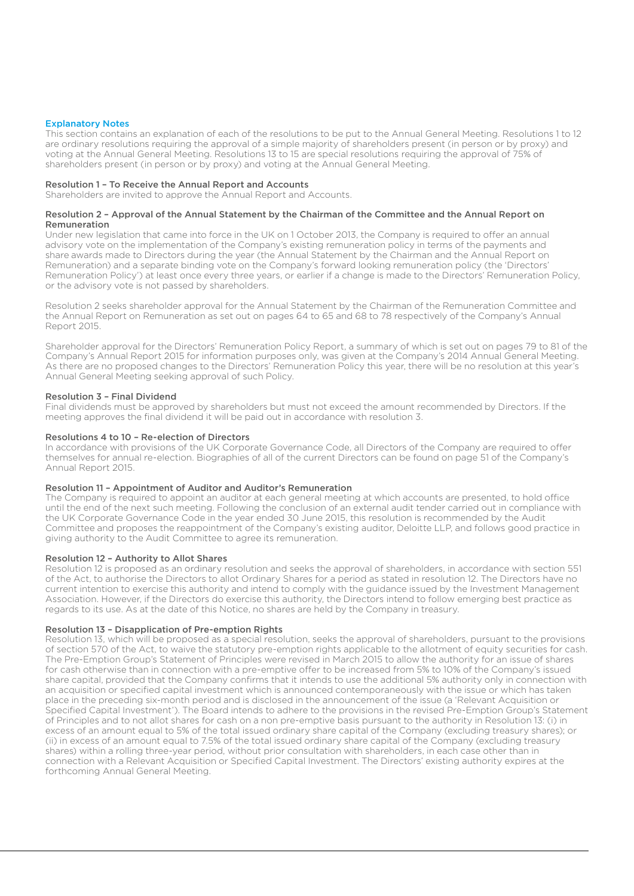### Explanatory Notes

This section contains an explanation of each of the resolutions to be put to the Annual General Meeting. Resolutions 1 to 12 are ordinary resolutions requiring the approval of a simple majority of shareholders present (in person or by proxy) and voting at the Annual General Meeting. Resolutions 13 to 15 are special resolutions requiring the approval of 75% of shareholders present (in person or by proxy) and voting at the Annual General Meeting.

#### Resolution 1 – To Receive the Annual Report and Accounts

Shareholders are invited to approve the Annual Report and Accounts.

#### Resolution 2 – Approval of the Annual Statement by the Chairman of the Committee and the Annual Report on Remuneration

Under new legislation that came into force in the UK on 1 October 2013, the Company is required to offer an annual advisory vote on the implementation of the Company's existing remuneration policy in terms of the payments and share awards made to Directors during the year (the Annual Statement by the Chairman and the Annual Report on Remuneration) and a separate binding vote on the Company's forward looking remuneration policy (the 'Directors' Remuneration Policy') at least once every three years, or earlier if a change is made to the Directors' Remuneration Policy, or the advisory vote is not passed by shareholders.

Resolution 2 seeks shareholder approval for the Annual Statement by the Chairman of the Remuneration Committee and the Annual Report on Remuneration as set out on pages 64 to 65 and 68 to 78 respectively of the Company's Annual Report 2015.

Shareholder approval for the Directors' Remuneration Policy Report, a summary of which is set out on pages 79 to 81 of the Company's Annual Report 2015 for information purposes only, was given at the Company's 2014 Annual General Meeting. As there are no proposed changes to the Directors' Remuneration Policy this year, there will be no resolution at this year's Annual General Meeting seeking approval of such Policy.

#### Resolution 3 – Final Dividend

Final dividends must be approved by shareholders but must not exceed the amount recommended by Directors. If the meeting approves the final dividend it will be paid out in accordance with resolution 3.

#### Resolutions 4 to 10 – Re-election of Directors

In accordance with provisions of the UK Corporate Governance Code, all Directors of the Company are required to offer themselves for annual re-election. Biographies of all of the current Directors can be found on page 51 of the Company's Annual Report 2015.

#### Resolution 11 – Appointment of Auditor and Auditor's Remuneration

The Company is required to appoint an auditor at each general meeting at which accounts are presented, to hold office until the end of the next such meeting. Following the conclusion of an external audit tender carried out in compliance with the UK Corporate Governance Code in the year ended 30 June 2015, this resolution is recommended by the Audit Committee and proposes the reappointment of the Company's existing auditor, Deloitte LLP, and follows good practice in giving authority to the Audit Committee to agree its remuneration.

#### Resolution 12 – Authority to Allot Shares

Resolution 12 is proposed as an ordinary resolution and seeks the approval of shareholders, in accordance with section 551 of the Act, to authorise the Directors to allot Ordinary Shares for a period as stated in resolution 12. The Directors have no current intention to exercise this authority and intend to comply with the guidance issued by the Investment Management Association. However, if the Directors do exercise this authority, the Directors intend to follow emerging best practice as regards to its use. As at the date of this Notice, no shares are held by the Company in treasury.

#### Resolution 13 – Disapplication of Pre-emption Rights

Resolution 13, which will be proposed as a special resolution, seeks the approval of shareholders, pursuant to the provisions of section 570 of the Act, to waive the statutory pre-emption rights applicable to the allotment of equity securities for cash. The Pre-Emption Group's Statement of Principles were revised in March 2015 to allow the authority for an issue of shares for cash otherwise than in connection with a pre-emptive offer to be increased from 5% to 10% of the Company's issued share capital, provided that the Company confirms that it intends to use the additional 5% authority only in connection with an acquisition or specified capital investment which is announced contemporaneously with the issue or which has taken place in the preceding six-month period and is disclosed in the announcement of the issue (a 'Relevant Acquisition or Specified Capital Investment'). The Board intends to adhere to the provisions in the revised Pre-Emption Group's Statement of Principles and to not allot shares for cash on a non pre-emptive basis pursuant to the authority in Resolution 13: (i) in excess of an amount equal to 5% of the total issued ordinary share capital of the Company (excluding treasury shares); or (ii) in excess of an amount equal to 7.5% of the total issued ordinary share capital of the Company (excluding treasury shares) within a rolling three-year period, without prior consultation with shareholders, in each case other than in connection with a Relevant Acquisition or Specified Capital Investment. The Directors' existing authority expires at the forthcoming Annual General Meeting.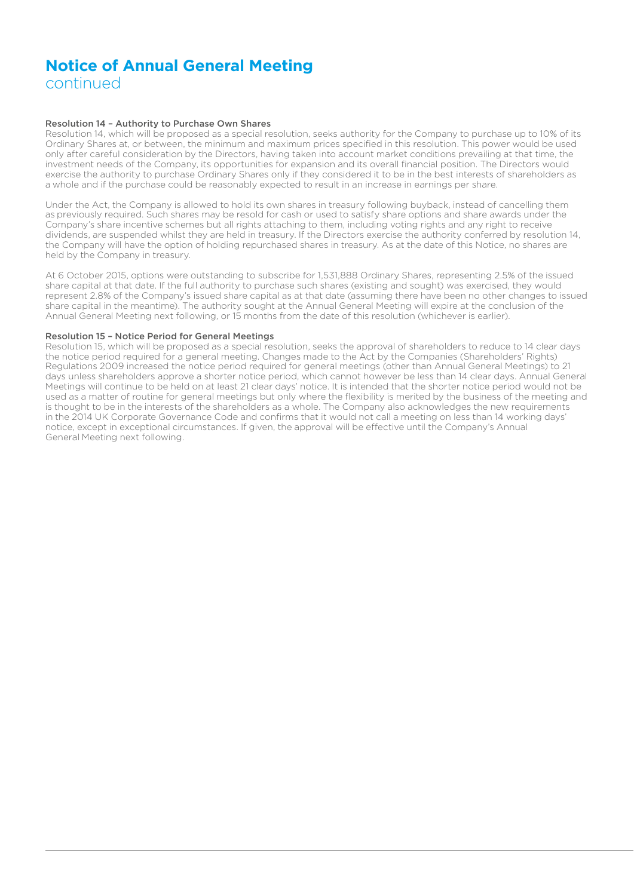### **Notice of Annual General Meeting** continued

#### Resolution 14 – Authority to Purchase Own Shares

Resolution 14, which will be proposed as a special resolution, seeks authority for the Company to purchase up to 10% of its Ordinary Shares at, or between, the minimum and maximum prices specified in this resolution. This power would be used only after careful consideration by the Directors, having taken into account market conditions prevailing at that time, the investment needs of the Company, its opportunities for expansion and its overall financial position. The Directors would exercise the authority to purchase Ordinary Shares only if they considered it to be in the best interests of shareholders as a whole and if the purchase could be reasonably expected to result in an increase in earnings per share.

Under the Act, the Company is allowed to hold its own shares in treasury following buyback, instead of cancelling them as previously required. Such shares may be resold for cash or used to satisfy share options and share awards under the Company's share incentive schemes but all rights attaching to them, including voting rights and any right to receive dividends, are suspended whilst they are held in treasury. If the Directors exercise the authority conferred by resolution 14, the Company will have the option of holding repurchased shares in treasury. As at the date of this Notice, no shares are held by the Company in treasury.

At 6 October 2015, options were outstanding to subscribe for 1,531,888 Ordinary Shares, representing 2.5% of the issued share capital at that date. If the full authority to purchase such shares (existing and sought) was exercised, they would represent 2.8% of the Company's issued share capital as at that date (assuming there have been no other changes to issued share capital in the meantime). The authority sought at the Annual General Meeting will expire at the conclusion of the Annual General Meeting next following, or 15 months from the date of this resolution (whichever is earlier).

#### Resolution 15 – Notice Period for General Meetings

Resolution 15, which will be proposed as a special resolution, seeks the approval of shareholders to reduce to 14 clear days the notice period required for a general meeting. Changes made to the Act by the Companies (Shareholders' Rights) Regulations 2009 increased the notice period required for general meetings (other than Annual General Meetings) to 21 days unless shareholders approve a shorter notice period, which cannot however be less than 14 clear days. Annual General Meetings will continue to be held on at least 21 clear days' notice. It is intended that the shorter notice period would not be used as a matter of routine for general meetings but only where the flexibility is merited by the business of the meeting and is thought to be in the interests of the shareholders as a whole. The Company also acknowledges the new requirements in the 2014 UK Corporate Governance Code and confirms that it would not call a meeting on less than 14 working days' notice, except in exceptional circumstances. If given, the approval will be effective until the Company's Annual General Meeting next following.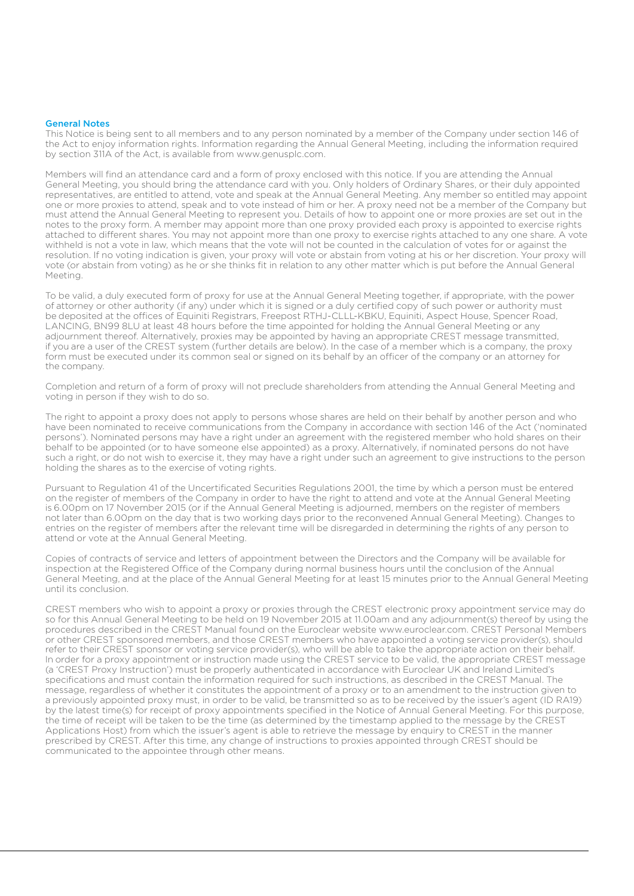#### General Notes

This Notice is being sent to all members and to any person nominated by a member of the Company under section 146 of the Act to enjoy information rights. Information regarding the Annual General Meeting, including the information required by section 311A of the Act, is available from www.genusplc.com.

Members will find an attendance card and a form of proxy enclosed with this notice. If you are attending the Annual General Meeting, you should bring the attendance card with you. Only holders of Ordinary Shares, or their duly appointed representatives, are entitled to attend, vote and speak at the Annual General Meeting. Any member so entitled may appoint one or more proxies to attend, speak and to vote instead of him or her. A proxy need not be a member of the Company but must attend the Annual General Meeting to represent you. Details of how to appoint one or more proxies are set out in the notes to the proxy form. A member may appoint more than one proxy provided each proxy is appointed to exercise rights attached to different shares. You may not appoint more than one proxy to exercise rights attached to any one share. A vote withheld is not a vote in law, which means that the vote will not be counted in the calculation of votes for or against the resolution. If no voting indication is given, your proxy will vote or abstain from voting at his or her discretion. Your proxy will vote (or abstain from voting) as he or she thinks fit in relation to any other matter which is put before the Annual General Meeting.

To be valid, a duly executed form of proxy for use at the Annual General Meeting together, if appropriate, with the power of attorney or other authority (if any) under which it is signed or a duly certified copy of such power or authority must be deposited at the offices of Equiniti Registrars, Freepost RTHJ-CLLL-KBKU, Equiniti, Aspect House, Spencer Road, LANCING, BN99 8LU at least 48 hours before the time appointed for holding the Annual General Meeting or any adjournment thereof. Alternatively, proxies may be appointed by having an appropriate CREST message transmitted, if you are a user of the CREST system (further details are below). In the case of a member which is a company, the proxy form must be executed under its common seal or signed on its behalf by an officer of the company or an attorney for the company.

Completion and return of a form of proxy will not preclude shareholders from attending the Annual General Meeting and voting in person if they wish to do so.

The right to appoint a proxy does not apply to persons whose shares are held on their behalf by another person and who have been nominated to receive communications from the Company in accordance with section 146 of the Act ('nominated persons'). Nominated persons may have a right under an agreement with the registered member who hold shares on their behalf to be appointed (or to have someone else appointed) as a proxy. Alternatively, if nominated persons do not have such a right, or do not wish to exercise it, they may have a right under such an agreement to give instructions to the person holding the shares as to the exercise of voting rights.

Pursuant to Regulation 41 of the Uncertificated Securities Regulations 2001, the time by which a person must be entered on the register of members of the Company in order to have the right to attend and vote at the Annual General Meeting is 6.00pm on 17 November 2015 (or if the Annual General Meeting is adjourned, members on the register of members not later than 6.00pm on the day that is two working days prior to the reconvened Annual General Meeting). Changes to entries on the register of members after the relevant time will be disregarded in determining the rights of any person to attend or vote at the Annual General Meeting.

Copies of contracts of service and letters of appointment between the Directors and the Company will be available for inspection at the Registered Office of the Company during normal business hours until the conclusion of the Annual General Meeting, and at the place of the Annual General Meeting for at least 15 minutes prior to the Annual General Meeting until its conclusion.

CREST members who wish to appoint a proxy or proxies through the CREST electronic proxy appointment service may do so for this Annual General Meeting to be held on 19 November 2015 at 11.00am and any adjournment(s) thereof by using the procedures described in the CREST Manual found on the Euroclear website www.euroclear.com. CREST Personal Members or other CREST sponsored members, and those CREST members who have appointed a voting service provider(s), should refer to their CREST sponsor or voting service provider(s), who will be able to take the appropriate action on their behalf. In order for a proxy appointment or instruction made using the CREST service to be valid, the appropriate CREST message (a 'CREST Proxy Instruction') must be properly authenticated in accordance with Euroclear UK and Ireland Limited's specifications and must contain the information required for such instructions, as described in the CREST Manual. The message, regardless of whether it constitutes the appointment of a proxy or to an amendment to the instruction given to a previously appointed proxy must, in order to be valid, be transmitted so as to be received by the issuer's agent (ID RA19) by the latest time(s) for receipt of proxy appointments specified in the Notice of Annual General Meeting. For this purpose, the time of receipt will be taken to be the time (as determined by the timestamp applied to the message by the CREST Applications Host) from which the issuer's agent is able to retrieve the message by enquiry to CREST in the manner prescribed by CREST. After this time, any change of instructions to proxies appointed through CREST should be communicated to the appointee through other means.